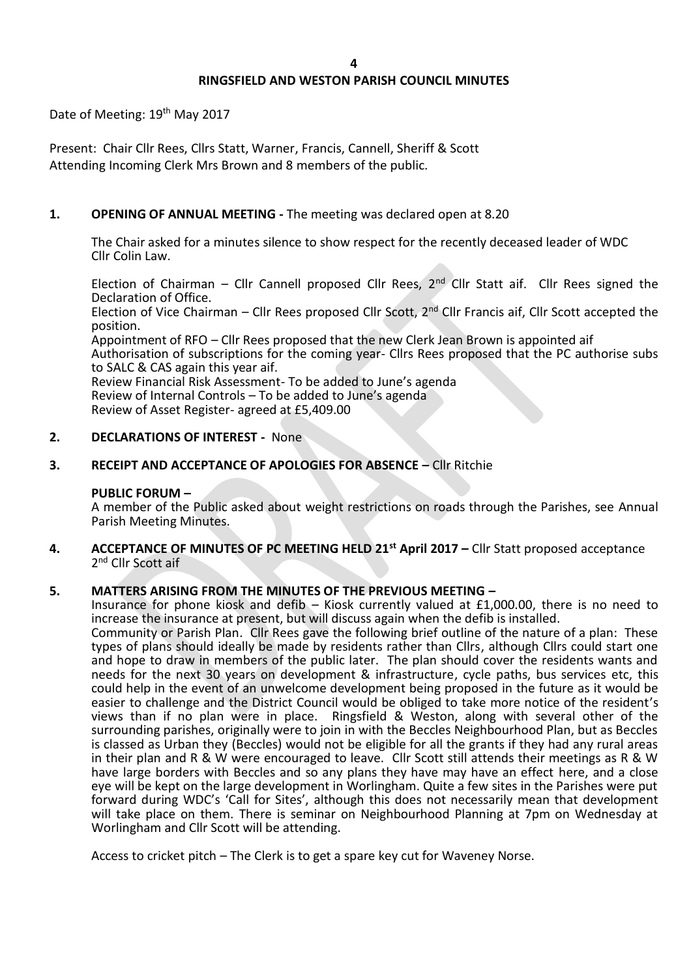# **RINGSFIELD AND WESTON PARISH COUNCIL MINUTES**

Date of Meeting: 19<sup>th</sup> May 2017

Present: Chair Cllr Rees, Cllrs Statt, Warner, Francis, Cannell, Sheriff & Scott Attending Incoming Clerk Mrs Brown and 8 members of the public.

# **1. OPENING OF ANNUAL MEETING -** The meeting was declared open at 8.20

The Chair asked for a minutes silence to show respect for the recently deceased leader of WDC Cllr Colin Law.

Election of Chairman – Cllr Cannell proposed Cllr Rees,  $2^{nd}$  Cllr Statt aif. Cllr Rees signed the Declaration of Office.

Election of Vice Chairman – Cllr Rees proposed Cllr Scott, 2<sup>nd</sup> Cllr Francis aif, Cllr Scott accepted the position.

Appointment of RFO – Cllr Rees proposed that the new Clerk Jean Brown is appointed aif Authorisation of subscriptions for the coming year- Cllrs Rees proposed that the PC authorise subs to SALC & CAS again this year aif. Review Financial Risk Assessment- To be added to June's agenda

Review of Internal Controls – To be added to June's agenda Review of Asset Register- agreed at £5,409.00

#### **2. DECLARATIONS OF INTEREST -** None

## **3. RECEIPT AND ACCEPTANCE OF APOLOGIES FOR ABSENCE –** Cllr Ritchie

#### **PUBLIC FORUM –**

A member of the Public asked about weight restrictions on roads through the Parishes, see Annual Parish Meeting Minutes.

**4. ACCEPTANCE OF MINUTES OF PC MEETING HELD 21st April 2017 –** Cllr Statt proposed acceptance 2<sup>nd</sup> Cllr Scott aif

## **5. MATTERS ARISING FROM THE MINUTES OF THE PREVIOUS MEETING –**

Insurance for phone kiosk and defib – Kiosk currently valued at £1,000.00, there is no need to increase the insurance at present, but will discuss again when the defib is installed.

Community or Parish Plan. Cllr Rees gave the following brief outline of the nature of a plan: These types of plans should ideally be made by residents rather than Cllrs, although Cllrs could start one and hope to draw in members of the public later. The plan should cover the residents wants and needs for the next 30 years on development & infrastructure, cycle paths, bus services etc, this could help in the event of an unwelcome development being proposed in the future as it would be easier to challenge and the District Council would be obliged to take more notice of the resident's views than if no plan were in place. Ringsfield & Weston, along with several other of the surrounding parishes, originally were to join in with the Beccles Neighbourhood Plan, but as Beccles is classed as Urban they (Beccles) would not be eligible for all the grants if they had any rural areas in their plan and R & W were encouraged to leave. Cllr Scott still attends their meetings as R & W have large borders with Beccles and so any plans they have may have an effect here, and a close eye will be kept on the large development in Worlingham. Quite a few sites in the Parishes were put forward during WDC's 'Call for Sites', although this does not necessarily mean that development will take place on them. There is seminar on Neighbourhood Planning at 7pm on Wednesday at Worlingham and Cllr Scott will be attending.

Access to cricket pitch – The Clerk is to get a spare key cut for Waveney Norse.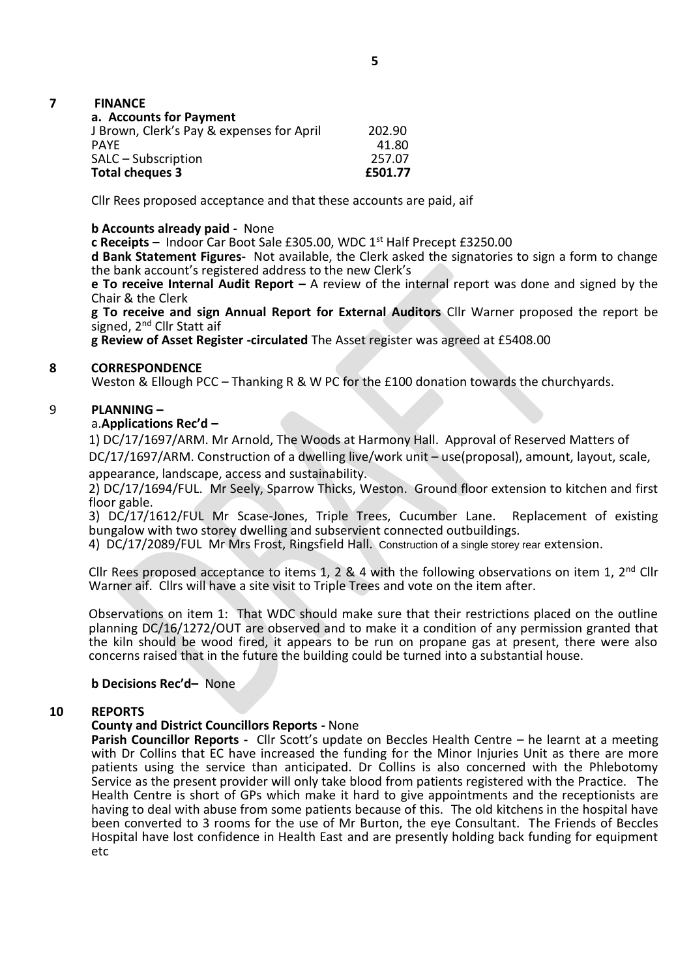## **7 FINANCE**

| 202.90  |
|---------|
| 41.80   |
| 257.07  |
| £501.77 |
|         |

Cllr Rees proposed acceptance and that these accounts are paid, aif

#### **b Accounts already paid -** None

**c Receipts –** Indoor Car Boot Sale £305.00, WDC 1st Half Precept £3250.00

**d Bank Statement Figures-** Not available, the Clerk asked the signatories to sign a form to change the bank account's registered address to the new Clerk's

**e To receive Internal Audit Report –** A review of the internal report was done and signed by the Chair & the Clerk

**g To receive and sign Annual Report for External Auditors** Cllr Warner proposed the report be signed, 2<sup>nd</sup> Cllr Statt aif

**g Review of Asset Register -circulated** The Asset register was agreed at £5408.00

#### **8 CORRESPONDENCE**

Weston & Ellough PCC – Thanking R & W PC for the £100 donation towards the churchyards.

# 9 **PLANNING –**

# a.**Applications Rec'd –**

1) DC/17/1697/ARM. Mr Arnold, The Woods at Harmony Hall. Approval of Reserved Matters of DC/17/1697/ARM. Construction of a dwelling live/work unit – use(proposal), amount, layout, scale, appearance, landscape, access and sustainability.

2) DC/17/1694/FUL. Mr Seely, Sparrow Thicks, Weston. Ground floor extension to kitchen and first floor gable.

3) DC/17/1612/FUL Mr Scase-Jones, Triple Trees, Cucumber Lane. Replacement of existing bungalow with two storey dwelling and subservient connected outbuildings.

4) DC/17/2089/FUL Mr Mrs Frost, Ringsfield Hall. Construction of a single storey rear extension.

Cllr Rees proposed acceptance to items 1, 2 & 4 with the following observations on item 1,  $2<sup>nd</sup>$  Cllr Warner aif. Cllrs will have a site visit to Triple Trees and vote on the item after.

Observations on item 1: That WDC should make sure that their restrictions placed on the outline planning DC/16/1272/OUT are observed and to make it a condition of any permission granted that the kiln should be wood fired, it appears to be run on propane gas at present, there were also concerns raised that in the future the building could be turned into a substantial house.

#### **b Decisions Rec'd–** None

#### **10 REPORTS**

#### **County and District Councillors Reports -** None

**Parish Councillor Reports -** Cllr Scott's update on Beccles Health Centre – he learnt at a meeting with Dr Collins that EC have increased the funding for the Minor Injuries Unit as there are more patients using the service than anticipated. Dr Collins is also concerned with the Phlebotomy Service as the present provider will only take blood from patients registered with the Practice. The Health Centre is short of GPs which make it hard to give appointments and the receptionists are having to deal with abuse from some patients because of this. The old kitchens in the hospital have been converted to 3 rooms for the use of Mr Burton, the eye Consultant. The Friends of Beccles Hospital have lost confidence in Health East and are presently holding back funding for equipment etc